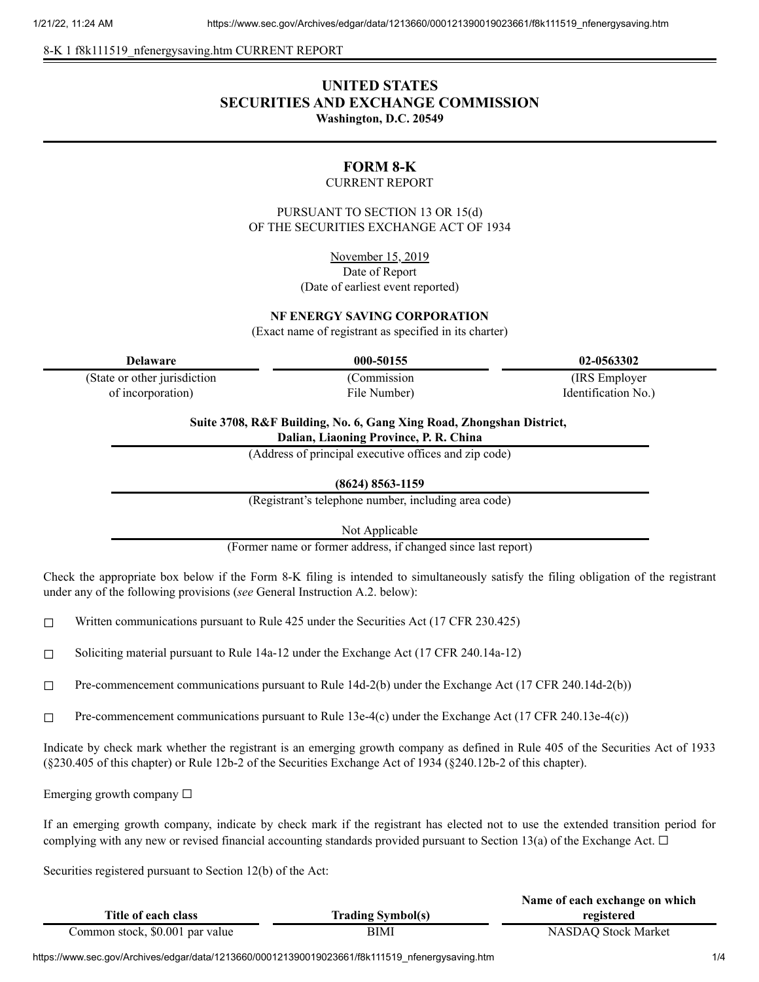8-K 1 f8k111519 nfenergysaving.htm CURRENT REPORT

## **UNITED STATES SECURITIES AND EXCHANGE COMMISSION Washington, D.C. 20549**

## **FORM 8-K**

#### CURRENT REPORT

PURSUANT TO SECTION 13 OR 15(d) OF THE SECURITIES EXCHANGE ACT OF 1934

November 15, 2019

Date of Report (Date of earliest event reported)

#### **NF ENERGY SAVING CORPORATION**

(Exact name of registrant as specified in its charter)

(State or other jurisdiction of incorporation)

(Commission

File Number)

**Delaware 000-50155 02-0563302**

(IRS Employer Identification No.)

**Suite 3708, R&F Building, No. 6, Gang Xing Road, Zhongshan District, Dalian, Liaoning Province, P. R. China**

(Address of principal executive offices and zip code)

**(8624) 8563-1159**

(Registrant's telephone number, including area code)

Not Applicable

(Former name or former address, if changed since last report)

Check the appropriate box below if the Form 8-K filing is intended to simultaneously satisfy the filing obligation of the registrant under any of the following provisions (*see* General Instruction A.2. below):

 $\Box$  Written communications pursuant to Rule 425 under the Securities Act (17 CFR 230.425)

☐ Soliciting material pursuant to Rule 14a-12 under the Exchange Act (17 CFR 240.14a-12)

☐ Pre-commencement communications pursuant to Rule 14d-2(b) under the Exchange Act (17 CFR 240.14d-2(b))

☐ Pre-commencement communications pursuant to Rule 13e-4(c) under the Exchange Act (17 CFR 240.13e-4(c))

Indicate by check mark whether the registrant is an emerging growth company as defined in Rule 405 of the Securities Act of 1933 (§230.405 of this chapter) or Rule 12b-2 of the Securities Exchange Act of 1934 (§240.12b-2 of this chapter).

Emerging growth company  $\Box$ 

If an emerging growth company, indicate by check mark if the registrant has elected not to use the extended transition period for complying with any new or revised financial accounting standards provided pursuant to Section 13(a) of the Exchange Act.  $\Box$ 

Securities registered pursuant to Section 12(b) of the Act:

|                                 |                          | Name of each exchange on which |
|---------------------------------|--------------------------|--------------------------------|
| Title of each class             | <b>Trading Symbol(s)</b> | registered                     |
| Common stock, \$0.001 par value | BIMI                     | NASDAQ Stock Market            |

https://www.sec.gov/Archives/edgar/data/1213660/000121390019023661/f8k111519\_nfenergysaving.htm 1/4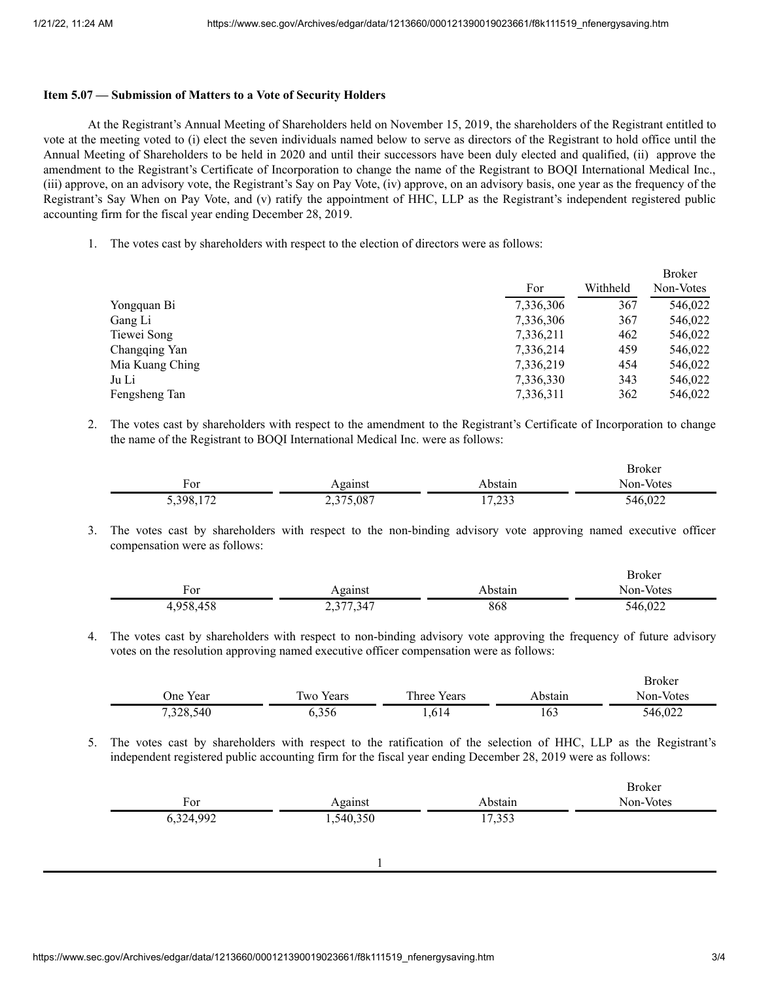#### **Item 5.07 — Submission of Matters to a Vote of Security Holders**

At the Registrant's Annual Meeting of Shareholders held on November 15, 2019, the shareholders of the Registrant entitled to vote at the meeting voted to (i) elect the seven individuals named below to serve as directors of the Registrant to hold office until the Annual Meeting of Shareholders to be held in 2020 and until their successors have been duly elected and qualified, (ii) approve the amendment to the Registrant's Certificate of Incorporation to change the name of the Registrant to BOQI International Medical Inc., (iii) approve, on an advisory vote, the Registrant's Say on Pay Vote, (iv) approve, on an advisory basis, one year as the frequency of the Registrant's Say When on Pay Vote, and (v) ratify the appointment of HHC, LLP as the Registrant's independent registered public accounting firm for the fiscal year ending December 28, 2019.

1. The votes cast by shareholders with respect to the election of directors were as follows:

|                 |           |          | <b>Broker</b> |
|-----------------|-----------|----------|---------------|
|                 | For       | Withheld | Non-Votes     |
| Yongquan Bi     | 7,336,306 | 367      | 546,022       |
| Gang Li         | 7,336,306 | 367      | 546,022       |
| Tiewei Song     | 7,336,211 | 462      | 546,022       |
| Changqing Yan   | 7,336,214 | 459      | 546,022       |
| Mia Kuang Ching | 7,336,219 | 454      | 546,022       |
| Ju Li           | 7,336,330 | 343      | 546,022       |
| Fengsheng Tan   | 7,336,311 | 362      | 546,022       |
|                 |           |          |               |

2. The votes cast by shareholders with respect to the amendment to the Registrant's Certificate of Incorporation to change the name of the Registrant to BOQI International Medical Inc. were as follows:

|                 |           |              | Broker    |
|-----------------|-----------|--------------|-----------|
| <b>D</b><br>For | Against   | ∖bstaın      | Non-Votes |
| 172<br>5,398.   | 2,375,087 | 7.22<br>1,23 | 546,022   |

3. The votes cast by shareholders with respect to the non-binding advisory vote approving named executive officer compensation were as follows:

|                   |                                                         |         | Broker    |
|-------------------|---------------------------------------------------------|---------|-----------|
| For               | 701201<br>ашы                                           | bstain. | Non-Votes |
| A E C<br>$\Omega$ | 347<br>$\sim$ $\sim$ $\sim$<br>$\overline{\phantom{a}}$ | 868     | 546,022   |

4. The votes cast by shareholders with respect to non-binding advisory vote approving the frequency of future advisory votes on the resolution approving named executive officer compensation were as follows:

|           |           |             |         | <b>Broker</b> |
|-----------|-----------|-------------|---------|---------------|
| One Year  | Two Years | Three Years | Abstain | Non-Votes     |
| 7,328,540 | 5.356     | .,614       | 163     | 546,022       |

5. The votes cast by shareholders with respect to the ratification of the selection of HHC, LLP as the Registrant's independent registered public accounting firm for the fiscal year ending December 28, 2019 were as follows:

| For       | Against   | Abstain | <b>Broker</b><br>Non-Votes |
|-----------|-----------|---------|----------------------------|
| 6,324,992 | 1,540,350 | 17,353  |                            |
|           |           |         |                            |
|           |           |         |                            |